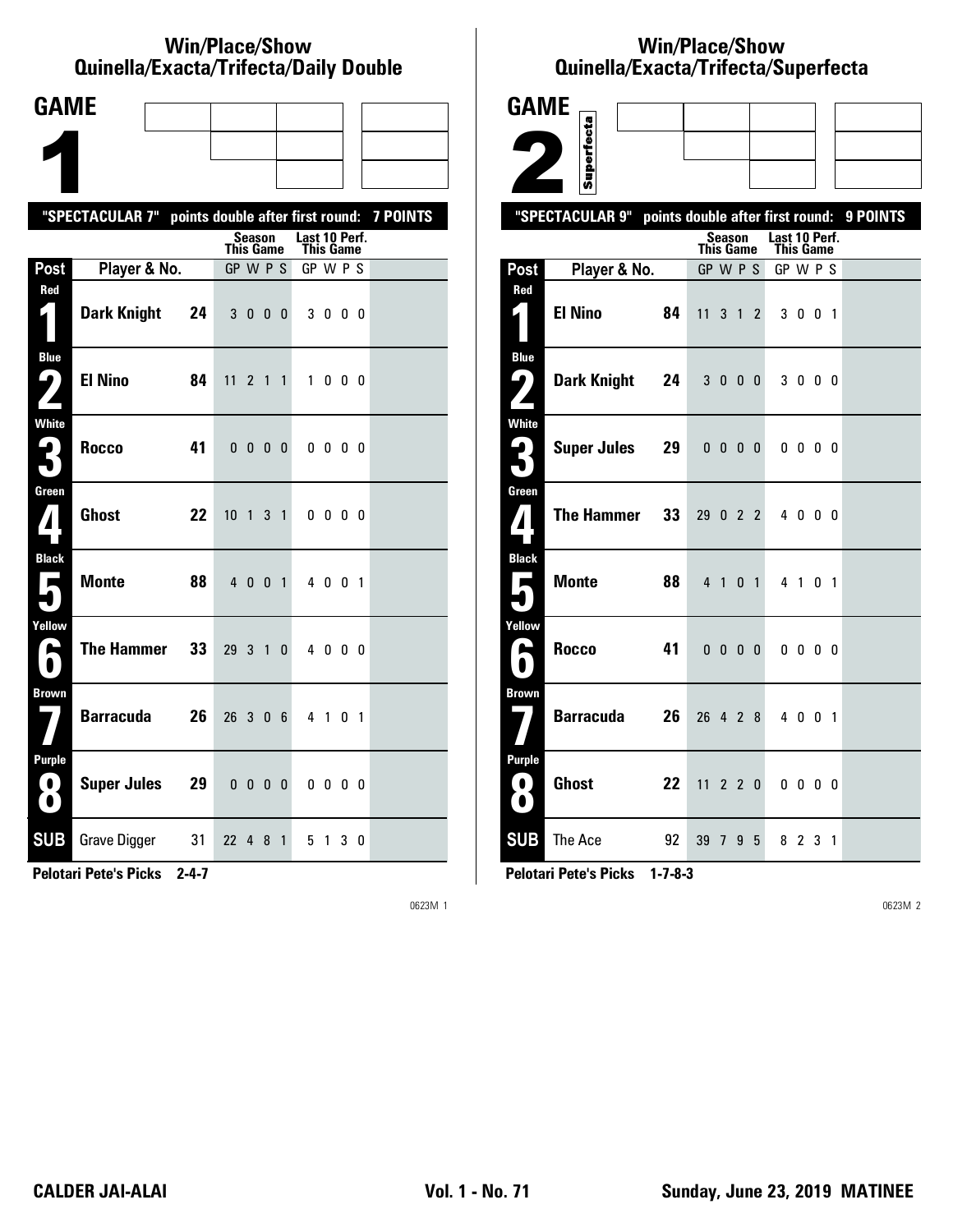#### **Win/Place/Show Qui nel la/Exacta/Tri fecta/Daily Dou ble**

| <b>GAME</b>                                                           |                                                           |                                   |                |                            |        |  |
|-----------------------------------------------------------------------|-----------------------------------------------------------|-----------------------------------|----------------|----------------------------|--------|--|
|                                                                       |                                                           |                                   |                |                            |        |  |
|                                                                       |                                                           |                                   |                |                            |        |  |
|                                                                       | "SPECTACULAR 7" points double after first round: 7 POINTS |                                   |                |                            |        |  |
|                                                                       |                                                           | Season<br>This Game               |                | Last 10 Perf.<br>This Game |        |  |
| Post                                                                  | Player & No.                                              | GP W P S                          |                | GP W P S                   |        |  |
| Red<br>$\mathbf{I}_{\parallel}$                                       | <b>Dark Knight</b><br>24                                  | 300                               | $\mathbf{0}$   | 3000                       |        |  |
| <b>Blue</b><br>ŋ<br>$\overline{\phantom{a}}$                          | <b>El Nino</b><br>84                                      | 11<br>2 1 1                       |                | $\mathbf{1}$               | 000    |  |
| White<br>2.                                                           | <b>Rocco</b><br>41                                        | 0 <sub>0</sub><br>0               | 0              | $0\,0\,0\,0$               |        |  |
| Green<br>$\mathbf{Z}$                                                 | <b>Ghost</b><br>22                                        | 10 <sub>1</sub><br>3 <sub>1</sub> |                | $0\,0\,0\,0$               |        |  |
| <b>Black</b><br>А                                                     | <b>Monte</b><br>88                                        | 4 0 0                             | $\overline{1}$ | 4 0 0 1                    |        |  |
| Yellow<br>A                                                           | <b>The Hammer</b><br>33                                   | 29 <sub>3</sub><br>$\overline{1}$ | $\mathbf{0}$   | 4000                       |        |  |
| <b>Brown</b>                                                          | <b>Barracuda</b><br>26                                    | 26<br>3 0 6                       |                | 4 1 0 1                    |        |  |
| <b>Purple</b><br>$\left( \begin{array}{c} 0 \end{array} \right)$<br>O | <b>Super Jules</b><br>29                                  | $0\; 0\; 0\; 0$                   |                | $0\,0\,0\,0$               |        |  |
| <b>SUB</b>                                                            | <b>Grave Digger</b><br>31                                 | 22<br>4 8                         | $\mathbf{1}$   | 51                         | 3<br>0 |  |

**Pelotari Pete's Picks 2-4-7**

0623M 1

## **Win/Place/Show Qui nel la/Exacta/Tri fecta/Super fecta**

| <b>GAME</b>                                                                         |                    |    |                                  |                          |             |                |                              |                          |  |          |
|-------------------------------------------------------------------------------------|--------------------|----|----------------------------------|--------------------------|-------------|----------------|------------------------------|--------------------------|--|----------|
|                                                                                     | Superfecta         |    |                                  |                          |             |                |                              |                          |  |          |
|                                                                                     |                    |    |                                  |                          |             |                |                              |                          |  |          |
|                                                                                     | "SPECTACULAR 9"    |    |                                  |                          |             |                |                              |                          |  |          |
|                                                                                     |                    |    | points double after first round: | Season                   |             |                | Last 10 Perf.                |                          |  | 9 POINTS |
| Post                                                                                | Player & No.       |    | <b>This Game</b><br>GP W P S     |                          |             |                | <b>This Game</b><br>GP W P S |                          |  |          |
| Red                                                                                 |                    |    |                                  |                          |             |                |                              |                          |  |          |
| 1                                                                                   | <b>El Nino</b>     | 84 | 11                               |                          | $3 \quad 1$ | $\overline{2}$ |                              | 3 0 0 1                  |  |          |
| <b>Blue</b><br>ر پا                                                                 | <b>Dark Knight</b> | 24 |                                  | 3000                     |             |                |                              | 3000                     |  |          |
| <b>White</b><br>$\mathbf{L}_{\parallel}$                                            | <b>Super Jules</b> | 29 |                                  | $0\quad 0\quad 0\quad 0$ |             |                |                              | $0\quad 0\quad 0\quad 0$ |  |          |
| Green<br>7                                                                          | <b>The Hammer</b>  | 33 | 29 0 2 2                         |                          |             |                |                              | 4 0 0 0                  |  |          |
| <b>Black</b><br>Е                                                                   | <b>Monte</b>       | 88 |                                  | 4 1                      |             | 0 <sub>1</sub> |                              | 4 1 0 1                  |  |          |
| Yellow<br>$\blacktriangleright$                                                     | <b>Rocco</b>       | 41 |                                  | $0\quad 0\quad 0\quad 0$ |             |                |                              | $0\quad 0\quad 0\quad 0$ |  |          |
| <b>Brown</b>                                                                        | <b>Barracuda</b>   | 26 | 26 4 2 8                         |                          |             |                |                              | 4 0 0 1                  |  |          |
| <b>Purple</b><br>$\left( \begin{array}{c} \bullet \end{array} \right)$<br>$\bullet$ | <b>Ghost</b>       | 22 | 11                               |                          |             | 220            |                              | $0\,0\,0\,0$             |  |          |
| <b>SUB</b>                                                                          | The Ace            | 92 | 39 7 9 5                         |                          |             |                |                              | 8 2 3 1                  |  |          |

**Pelotari Pete's Picks 1-7-8-3**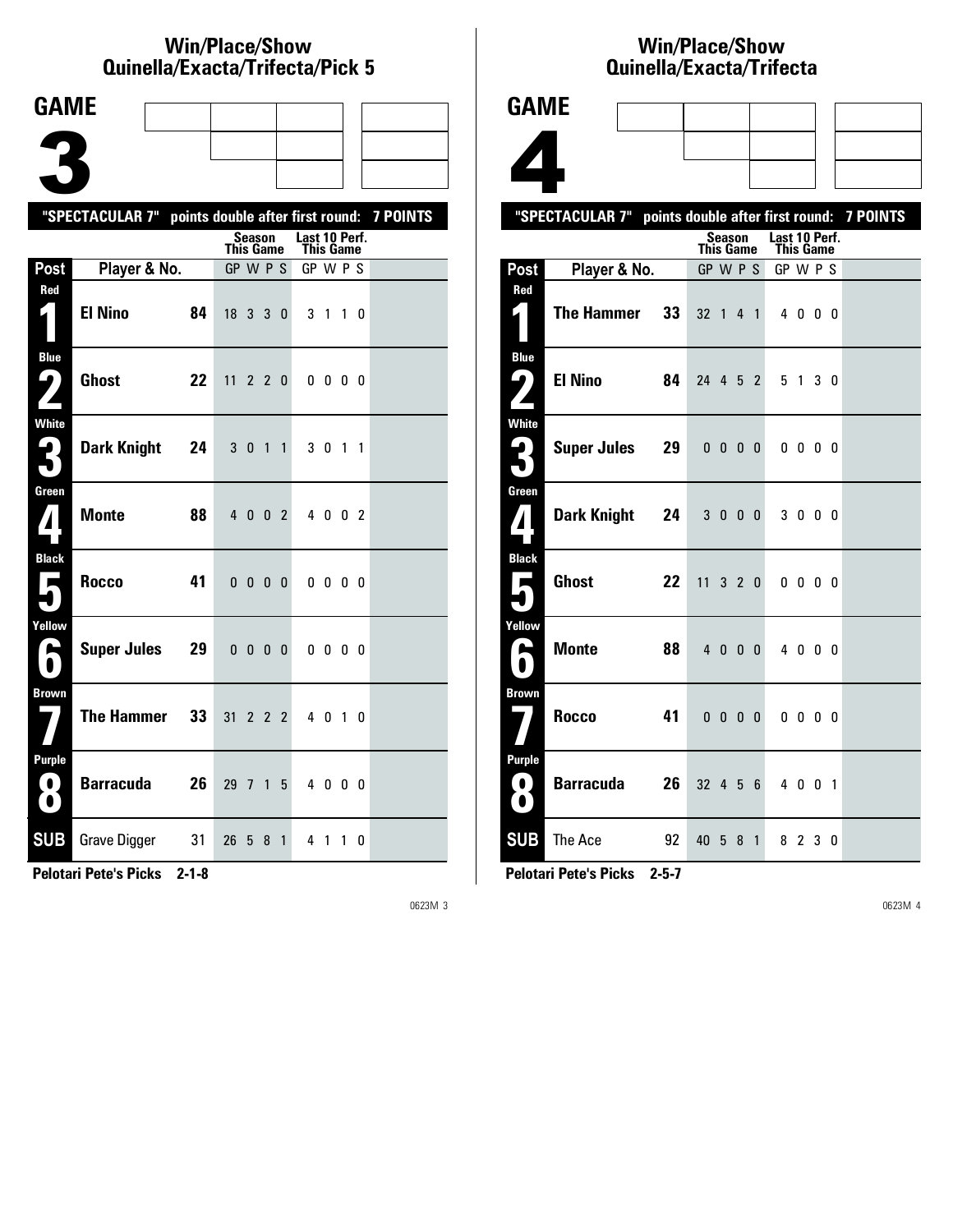#### **Win/Place/Show Qui nel la/Exacta/Tri fecta/Pick 5**

| <b>GAME</b>                           |                                                           |    |                  |                          |             |              |               |                          |  |  |
|---------------------------------------|-----------------------------------------------------------|----|------------------|--------------------------|-------------|--------------|---------------|--------------------------|--|--|
|                                       |                                                           |    |                  |                          |             |              |               |                          |  |  |
|                                       |                                                           |    |                  |                          |             |              |               |                          |  |  |
|                                       |                                                           |    |                  |                          |             |              |               |                          |  |  |
|                                       | "SPECTACULAR 7" points double after first round: 7 POINTS |    |                  | <b>Season</b>            |             |              | Last 10 Perf. |                          |  |  |
|                                       |                                                           |    | <b>This Game</b> |                          |             |              | This Game     |                          |  |  |
| Post                                  | Player & No.                                              |    | $GP$ W $P$ S     |                          |             |              | GP W P S      |                          |  |  |
| Red<br>$\mathbf{r}$                   | <b>El Nino</b>                                            | 84 | 18 3 3 0         |                          |             |              |               | 3 1 1 0                  |  |  |
| <b>Blue</b><br>ر ما                   | <b>Ghost</b>                                              | 22 | 11               |                          |             | 220          |               | $0\,0\,0\,0$             |  |  |
| <b>White</b><br>2<br>$\blacksquare$   | <b>Dark Knight</b>                                        | 24 | 3 <sub>0</sub>   |                          | 1           | $\mathbf{1}$ |               | 3 0 1 1                  |  |  |
| Green                                 | <b>Monte</b>                                              | 88 |                  | 4 0 0 2                  |             |              |               | 4002                     |  |  |
| <b>Black</b><br>$\blacksquare$        | <b>Rocco</b><br>41                                        |    |                  | $0\quad 0\quad 0\quad 0$ |             |              |               | $0\quad 0\quad 0\quad 0$ |  |  |
| Yellow<br>$\blacktriangleright$       | <b>Super Jules</b>                                        | 29 |                  | $0\ 0\ 0\ 0$             |             |              |               | $0\quad 0\quad 0\quad 0$ |  |  |
| <b>Brown</b>                          | <b>The Hammer</b>                                         | 33 | 31               |                          | $2 \t2 \t2$ |              |               | 4 0 1 0                  |  |  |
| Purple<br>$\blacksquare$<br>$\bullet$ | <b>Barracuda</b>                                          | 26 | 29               | $\overline{7}$           | 1           | 5            |               | 4000                     |  |  |
| <b>SUB</b>                            | <b>Grave Digger</b><br>31                                 |    | 26               | 5                        | 8           | $\mathbf{1}$ |               | 4 1 1 0                  |  |  |

**Pelotari Pete's Picks 2-1-8**

0623M 3

# **Win/Place/Show Qui nel la/Exacta/Tri fecta**

|                          |                                                           | Quinella/Exacta/Trifecta          |                            |  |
|--------------------------|-----------------------------------------------------------|-----------------------------------|----------------------------|--|
| <b>GAME</b>              |                                                           |                                   |                            |  |
|                          |                                                           |                                   |                            |  |
|                          |                                                           |                                   |                            |  |
|                          |                                                           |                                   |                            |  |
|                          | "SPECTACULAR 7" points double after first round: 7 POINTS |                                   |                            |  |
|                          |                                                           | <b>Season</b><br><b>This Game</b> | Last 10 Perf.<br>This Game |  |
| Post                     | Player & No.                                              | GP W P S                          | GP W P S                   |  |
| Red                      | <b>The Hammer</b><br>33                                   | 32 1 4 1                          | 4000                       |  |
| <b>Blue</b><br>91        | <b>El Nino</b><br>84                                      | 24 4 5 2                          | 5 1 3 0                    |  |
| White<br>ر ڪ             | <b>Super Jules</b><br>29                                  | $0\,0\,0\,0$                      | $0\quad 0\quad 0\quad 0$   |  |
| Green<br>$\mathbf{Z}$    | Dark Knight 24                                            | 3 0 0 0                           | 3 0 0 0                    |  |
| <b>Black</b><br>E        | Ghost<br>22                                               | 11 3 2 0                          | $0\,0\,0\,0$               |  |
| Yellow<br>A<br>$\bullet$ | <b>Monte</b><br>88                                        | 4 0 0 0                           | 4000                       |  |
| Brown                    | <b>Rocco</b><br>41                                        | $0\ 0\ 0\ 0$                      | $0\,0\,0\,0$               |  |
| <b>Purple</b>            | <b>Barracuda</b><br>26                                    | 32 4 5 6                          | 4 0 0 1                    |  |
|                          |                                                           |                                   |                            |  |

**Pelotari Pete's Picks 2-5-7**

**SUB** The Ace 92 40 5 8 1 8 2 3 0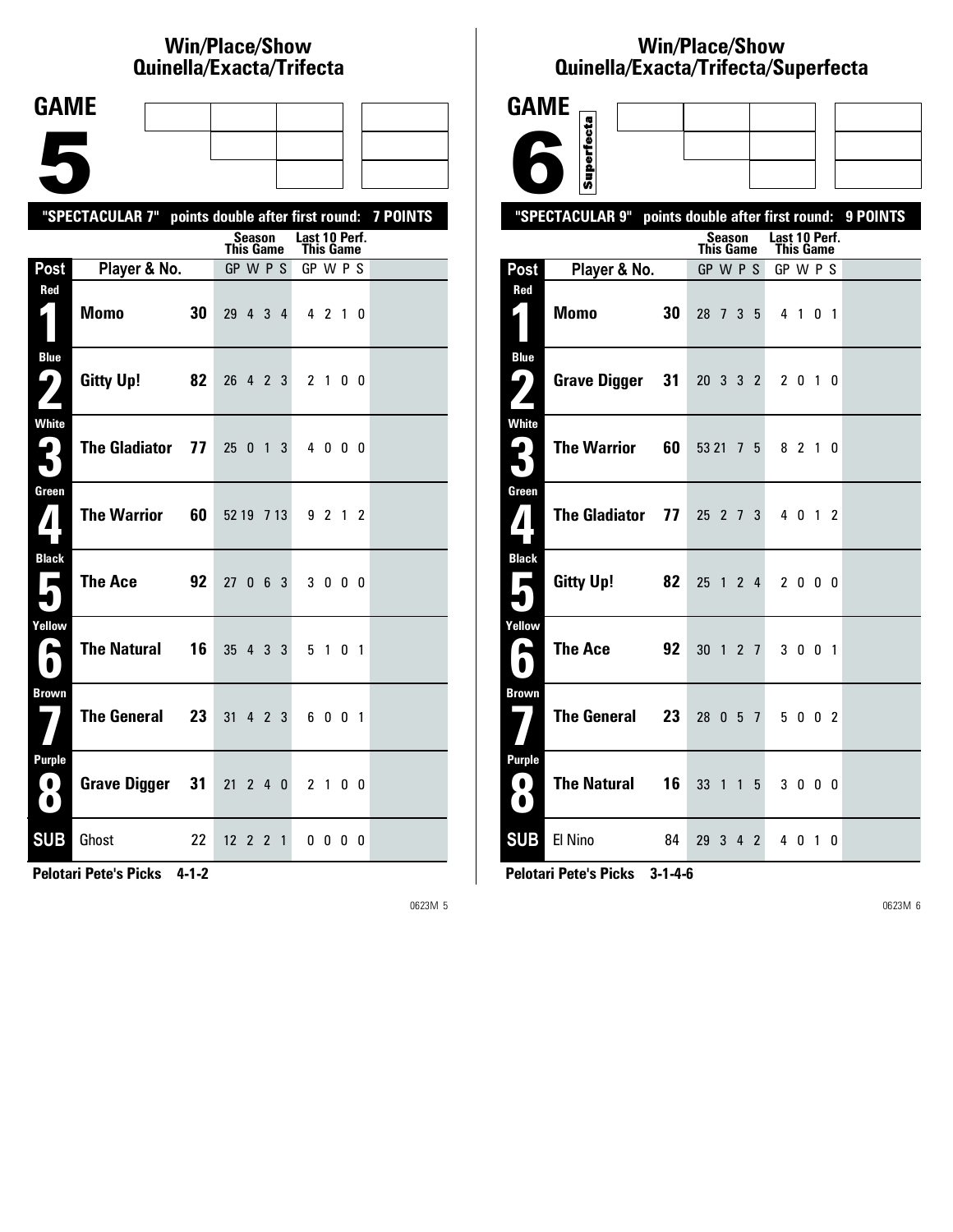## **Win/Place/Show Qui nel la/Exacta/Tri fecta**

| <b>GAME</b>                                                      |                                                           |    |                              |                |                |              |                       |         |                |  |
|------------------------------------------------------------------|-----------------------------------------------------------|----|------------------------------|----------------|----------------|--------------|-----------------------|---------|----------------|--|
|                                                                  |                                                           |    |                              |                |                |              |                       |         |                |  |
|                                                                  |                                                           |    |                              |                |                |              |                       |         |                |  |
|                                                                  | "SPECTACULAR 7" points double after first round: 7 POINTS |    |                              |                |                |              |                       |         |                |  |
|                                                                  |                                                           |    |                              | Season         |                |              | Last 10 Perf.         |         |                |  |
| Post                                                             | Player & No.                                              |    | <b>This Game</b><br>GP W P S |                |                |              | This Game<br>GP W P S |         |                |  |
| Red<br>$\mathbf{L}$ )                                            | <b>Momo</b><br>30                                         |    | 29 4 3 4                     |                |                |              |                       | 4 2 1 0 |                |  |
| <b>Blue</b><br>$\blacktriangleright$<br>$\overline{\phantom{a}}$ | Gitty Up!<br>82                                           |    | 26 4 2 3                     |                |                |              |                       | 2 1     | 0 <sub>0</sub> |  |
| <b>White</b><br>3                                                | <b>The Gladiator</b>                                      | 77 | $25 \t0 \t1$                 |                |                | 3            |                       | 4000    |                |  |
| Green                                                            | <b>The Warrior</b>                                        | 60 | 52 19 7 13                   |                |                |              |                       | 9 2 1 2 |                |  |
| <b>Black</b><br>$\blacksquare$                                   | <b>The Ace</b><br>92                                      |    | 27063                        |                |                |              |                       | 3 0 0 0 |                |  |
| Yellow<br>A                                                      | <b>The Natural</b>                                        | 16 | 35 4 3 3                     |                |                |              |                       | 5 1     | 0 <sub>1</sub> |  |
| <b>Brown</b>                                                     | <b>The General</b><br>23                                  |    | 31                           | 4 2 3          |                |              |                       | 6001    |                |  |
| <b>Purple</b><br>$\bf O$<br>$\blacksquare$                       | <b>Grave Digger</b>                                       | 31 | 21                           | 240            |                |              |                       | 2 1 0 0 |                |  |
| <b>SUB</b>                                                       | Ghost<br>22                                               |    | 12                           | $\overline{2}$ | $\overline{2}$ | $\mathbf{1}$ |                       | 0000    |                |  |

**Pelotari Pete's Picks 4-1-2**

0623M 5

## **Win/Place/Show Qui nel la/Exacta/Tri fecta/Super fecta**

| <b>GAME</b>                                       |                                                           |                                        |   |                            |  |
|---------------------------------------------------|-----------------------------------------------------------|----------------------------------------|---|----------------------------|--|
|                                                   | Superfecta                                                |                                        |   |                            |  |
|                                                   |                                                           |                                        |   |                            |  |
|                                                   | "SPECTACULAR 9" points double after first round: 9 POINTS |                                        |   |                            |  |
|                                                   |                                                           | Season<br><b>This Game</b>             |   | Last 10 Perf.<br>This Game |  |
| Post                                              | Player & No.                                              | GP W P S                               |   | GP W P S                   |  |
| Red<br>4                                          | 30<br><b>Momo</b>                                         | 28 7 3 5                               |   | 4 1 0 1                    |  |
| <b>Blue</b><br>ر ما                               | <b>Grave Digger</b><br>31                                 | 20 3 3 2                               |   | 2 0 1 0                    |  |
| <b>White</b><br>ہا<br>5                           | <b>The Warrior</b><br>60                                  | 53 21 7 5                              |   | 8 2 1 0                    |  |
| Green<br>$\boldsymbol{I}$                         | <b>The Gladiator</b><br>77                                | $25 \t2 \t7$                           | 3 | 4 0 1 2                    |  |
| <b>Black</b><br>Е<br>٠                            | <b>Gitty Up!</b><br>82                                    | 25 1 2 4                               |   | 2 0 0 0                    |  |
| Yellow<br>$\blacktriangleright$<br>$\blacksquare$ | <b>The Ace</b><br>92                                      | 30 1 2 7                               |   | 3 0 0 1                    |  |
| <b>Brown</b>                                      | <b>The General</b><br>23                                  | 28 0 5 7                               |   | 5 0 0 2                    |  |
| <b>Purple</b><br>$\bullet$<br>$\bullet$           | <b>The Natural</b><br>16                                  | 33<br>$\overline{1}$<br>$\overline{1}$ | 5 | 3 0 0 0                    |  |
| <b>SUB</b>                                        | El Nino<br>84                                             | 29 3 4 2                               |   | 4 0 1 0                    |  |

**Pelotari Pete's Picks 3-1-4-6**